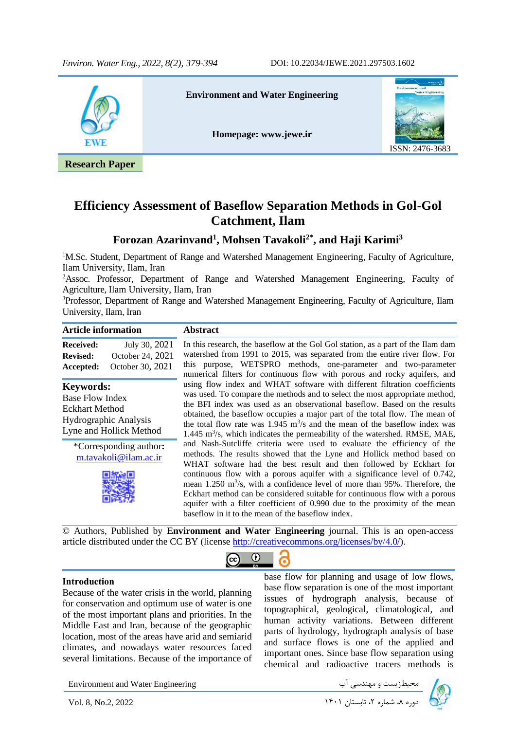

## **Efficiency Assessment of Baseflow Separation Methods in Gol-Gol Catchment, Ilam**

## **Forozan Azarinvand<sup>1</sup> , Mohsen Tavakoli2\* , and Haji Karimi<sup>3</sup>**

<sup>1</sup>M.Sc. Student, Department of Range and Watershed Management Engineering, Faculty of Agriculture, Ilam University, Ilam, Iran

<sup>2</sup>Assoc. Professor, Department of Range and Watershed Management Engineering, Faculty of Agriculture, Ilam University, Ilam, Iran

<sup>3</sup>Professor, Department of Range and Watershed Management Engineering, Faculty of Agriculture, Ilam University, Ilam, Iran

| <b>Article information</b>                                                                                       |                                                       | <b>Abstract</b>                                                                                                                                                                                                                                                                                                                                                                                                                                                                                                                                                                                                    |  |  |  |  |
|------------------------------------------------------------------------------------------------------------------|-------------------------------------------------------|--------------------------------------------------------------------------------------------------------------------------------------------------------------------------------------------------------------------------------------------------------------------------------------------------------------------------------------------------------------------------------------------------------------------------------------------------------------------------------------------------------------------------------------------------------------------------------------------------------------------|--|--|--|--|
| Received:<br><b>Revised:</b><br>Accepted:                                                                        | July 30, 2021<br>October 24, 2021<br>October 30, 2021 | In this research, the baseflow at the Gol Gol station, as a part of the Ilam dam<br>watershed from 1991 to 2015, was separated from the entire river flow. For<br>this purpose, WETSPRO methods, one-parameter and two-parameter<br>numerical filters for continuous flow with porous and rocky aquifers, and                                                                                                                                                                                                                                                                                                      |  |  |  |  |
| <b>Keywords:</b><br>Base Flow Index<br><b>Eckhart Method</b><br>Hydrographic Analysis<br>Lyne and Hollick Method |                                                       | using flow index and WHAT software with different filtration coefficients<br>was used. To compare the methods and to select the most appropriate method,<br>the BFI index was used as an observational baseflow. Based on the results<br>obtained, the baseflow occupies a major part of the total flow. The mean of<br>the total flow rate was 1.945 $\rm m^{3}/s$ and the mean of the baseflow index was<br>$1.445$ m <sup>3</sup> /s, which indicates the permeability of the watershed. RMSE, MAE,                                                                                                             |  |  |  |  |
| *Corresponding author:<br>m.tavakoli@ilam.ac.ir                                                                  |                                                       | and Nash-Sutcliffe criteria were used to evaluate the efficiency of the<br>methods. The results showed that the Lyne and Hollick method based on<br>WHAT software had the best result and then followed by Eckhart for<br>continuous flow with a porous aquifer with a significance level of 0.742,<br>mean $1.250$ m <sup>3</sup> /s, with a confidence level of more than 95%. Therefore, the<br>Eckhart method can be considered suitable for continuous flow with a porous<br>aquifer with a filter coefficient of 0.990 due to the proximity of the mean<br>baseflow in it to the mean of the baseflow index. |  |  |  |  |

© Authors, Published by **Environment and Water Engineering** journal. This is an open-access article distributed under the CC BY (license [http://creativecommons.org/licenses/by/4.0/\)](http://creativecommons.org/licenses/by/4.0/).

### $\odot$  $(c<sub>c</sub>)$ l,

### **Introduction**

Because of the water crisis in the world, planning for conservation and optimum use of water is one of the most important plans and priorities. In the Middle East and Iran, because of the geographic location, most of the areas have arid and semiarid climates, and nowadays water resources faced several limitations. Because of the importance of base flow for planning and usage of low flows, base flow separation is one of the most important issues of hydrograph analysis, because of topographical, geological, climatological, and human activity variations. Between different parts of hydrology, hydrograph analysis of base and surface flows is one of the applied and important ones. Since base flow separation using chemical and radioactive tracers methods is

Environment and Water Engineering دیریست و مهندسی آب السلم Environment and Water Engineering<br>اوره ۸، شماره ۲، تابستان ۱۴۰۱ I۴۰۱ استان ۱۴۰۱ I۴۰۱ دوره ۸، شماره ۲، تابستان ۱۴۰۱ I۴۰۱ دوره ۸، شماره ۲، تابستان

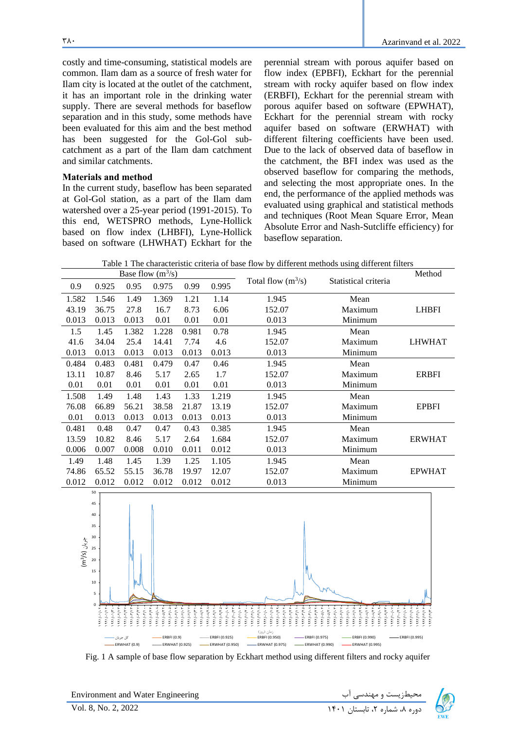costly and time-consuming, statistical models are common. Ilam dam as a source of fresh water for Ilam city is located at the outlet of the catchment, it has an important role in the drinking water supply. There are several methods for baseflow separation and in this study, some methods have been evaluated for this aim and the best method has been suggested for the Gol-Gol subcatchment as a part of the Ilam dam catchment and similar catchments.

### **Materials and method**

In the current study, baseflow has been separated at Gol-Gol station, as a part of the Ilam dam watershed over a 25-year period (1991-2015). To this end, WETSPRO methods, Lyne-Hollick based on flow index (LHBFI), Lyne-Hollick based on software (LHWHAT) Eckhart for the

perennial stream with porous aquifer based on flow index (EPBFI), Eckhart for the perennial stream with rocky aquifer based on flow index (ERBFI), Eckhart for the perennial stream with porous aquifer based on software (EPWHAT), Eckhart for the perennial stream with rocky aquifer based on software (ERWHAT) with different filtering coefficients have been used. Due to the lack of observed data of baseflow in the catchment, the BFI index was used as the observed baseflow for comparing the methods, and selecting the most appropriate ones. In the end, the performance of the applied methods was evaluated using graphical and statistical methods and techniques (Root Mean Square Error, Mean Absolute Error and Nash-Sutcliffe efficiency) for baseflow separation.

Table 1 The characteristic criteria of base flow by different methods using different filters

| Base flow $(m^3/s)$ |       |       |       |       |       |                      |                      | Method        |
|---------------------|-------|-------|-------|-------|-------|----------------------|----------------------|---------------|
| 0.9                 | 0.925 | 0.95  | 0.975 | 0.99  | 0.995 | Total flow $(m^3/s)$ | Statistical criteria |               |
| 1.582               | 1.546 | 1.49  | 1.369 | 1.21  | 1.14  | 1.945<br>Mean        |                      |               |
| 43.19               | 36.75 | 27.8  | 16.7  | 8.73  | 6.06  | 152.07               | Maximum              | <b>LHBFI</b>  |
| 0.013               | 0.013 | 0.013 | 0.01  | 0.01  | 0.01  | 0.013                | Minimum              |               |
| 1.5                 | 1.45  | 1.382 | 1.228 | 0.981 | 0.78  | 1.945                | Mean                 |               |
| 41.6                | 34.04 | 25.4  | 14.41 | 7.74  | 4.6   | 152.07               | Maximum              | <b>LHWHAT</b> |
| 0.013               | 0.013 | 0.013 | 0.013 | 0.013 | 0.013 | 0.013                | Minimum              |               |
| 0.484               | 0.483 | 0.481 | 0.479 | 0.47  | 0.46  | 1.945                | Mean                 |               |
| 13.11               | 10.87 | 8.46  | 5.17  | 2.65  | 1.7   | 152.07               | Maximum              | <b>ERBFI</b>  |
| 0.01                | 0.01  | 0.01  | 0.01  | 0.01  | 0.01  | 0.013                | Minimum              |               |
| 1.508               | 1.49  | 1.48  | 1.43  | 1.33  | 1.219 | 1.945                | Mean                 |               |
| 76.08               | 66.89 | 56.21 | 38.58 | 21.87 | 13.19 | 152.07               | Maximum              | <b>EPBFI</b>  |
| 0.01                | 0.013 | 0.013 | 0.013 | 0.013 | 0.013 | 0.013                | Minimum              |               |
| 0.481               | 0.48  | 0.47  | 0.47  | 0.43  | 0.385 | 1.945                | Mean                 |               |
| 13.59               | 10.82 | 8.46  | 5.17  | 2.64  | 1.684 | 152.07               | Maximum              | <b>ERWHAT</b> |
| 0.006               | 0.007 | 0.008 | 0.010 | 0.011 | 0.012 | 0.013                | Minimum              |               |
| 1.49                | 1.48  | 1.45  | 1.39  | 1.25  | 1.105 | 1.945                | Mean                 |               |
| 74.86               | 65.52 | 55.15 | 36.78 | 19.97 | 12.07 | 152.07               | Maximum              | <b>EPWHAT</b> |
| 0.012               | 0.012 | 0.012 | 0.012 | 0.012 | 0.012 | 0.013                | Minimum              |               |



Fig. 1 A sample of base flow separation by Eckhart method using different filters and rocky aquifer

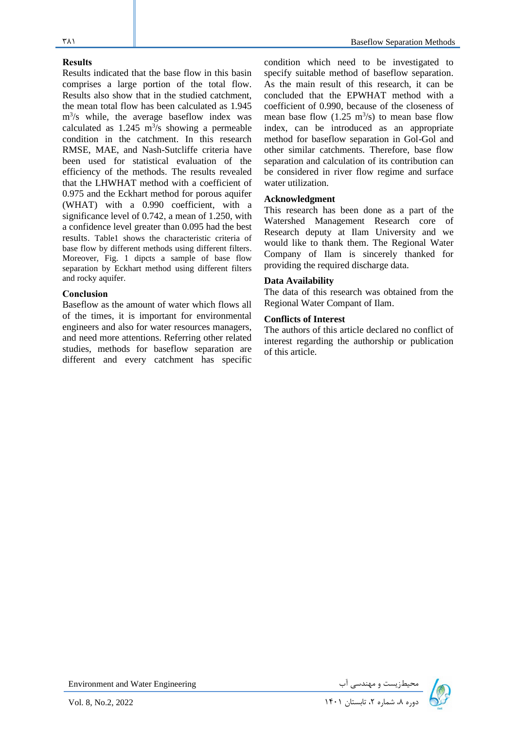### **Results**

Results indicated that the base flow in this basin comprises a large portion of the total flow. Results also show that in the studied catchment, the mean total flow has been calculated as 1.945 m<sup>3</sup> /s while, the average baseflow index was calculated as  $1.245 \text{ m}^3\text{/s}$  showing a permeable condition in the catchment. In this research RMSE, MAE, and Nash-Sutcliffe criteria have been used for statistical evaluation of the efficiency of the methods . The results revealed that the LHWHAT method with a coefficient of 0.975 and the Eckhart method for porous aquifer (WHAT) with a 0.990 coefficient, with a significance level of 0.742, a mean of 1.250, with a confidence level greater than 0.095 had the best results. Table1 shows the characteristic criteria of base flow by different methods using different filters. Moreover, Fig. 1 dipcts a sample of base flow separation by Eckhart method using different filters and rocky aquifer.

### **Conclusion**

Baseflow as the amount of water which flows all of the times, it is important for environmental engineers and also for water resources managers, and need more attentions. Referring other related studies, methods for baseflow separation are different and every catchment has specific condition which need to be investigated to specify suitable method of baseflow separation. As the main result of this research, it can be concluded that the EPWHAT method with a coefficient of 0.990, because of the closeness of mean base flow  $(1.25 \text{ m}^3/\text{s})$  to mean base flow index, can be introduced as an appropriate method for baseflow separation in Gol-Gol and other similar catchments. Therefore, base flow separation and calculation of its contribution can be considered in river flow regime and surface water utilization.

### **Acknowledgment**

This research has been done as a part of the Watershed Management Research core of Research deputy at Ilam University and we would like to thank them. The Regional Water Company of Ilam is sincerely thanked for providing the required discharge data.

### **Data Availability**

The data of this research was obtained from the Regional Water Compant of Ilam.

### **Conflicts of Interest**

The authors of this article declared no conflict of interest regarding the authorship or publication of this article.

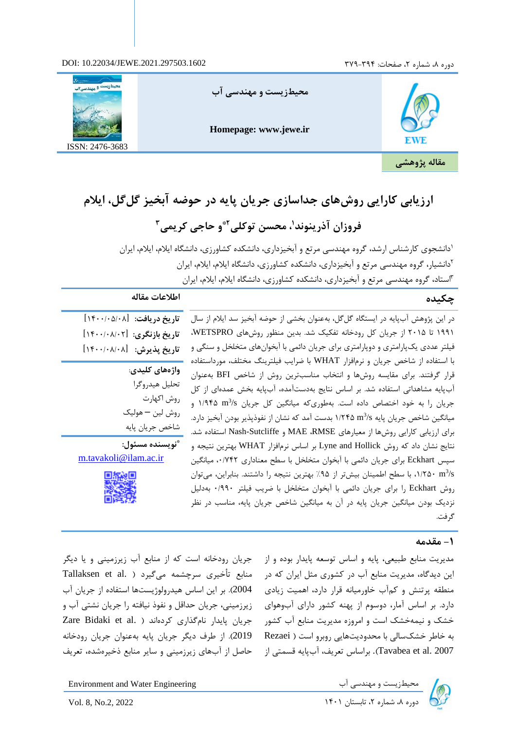### دوره ۸، شماره ۲، صفحات: ۳۷۹-۳۷۹ . TY۹-۳۹۴ . 2021.297503.1602



## **ارزیابی کارایی روشهای جداسازی جریان پایه در حوضه آبخیز گل گل، ایالم**

## **، محسن توکلی <sup>1</sup> فروزان آذرینوند و حاجی کریمی 2\* 3**

<sup>ا</sup>دانشجوی کارشناس ارشد، گروه مهندسی مرتع و آبخیزداری، دانشکده کشاورزی، دانشگاه ایلام، ایلام، ایران <sup>۲</sup>دانشیار، گروه مهندسی مرتع و آبخیزداری، دانشکده کشاورزی، دانشگاه ایلام، ایلام، ایران استاد، گروه مهندسی مرتع و آبخیزداری، دانشکده کشاورزی، دانشگاه ایلام، ایلام، ایران

### **چکیده اطالعات مقاله**  در این پژوهش آبپایه در ایستگاه گل گل، بهعنوان بخشی از حوضه آبخیز سد ایلام از سال 1991 تا 2015 از یان رودخانه تفکیک شد. بدین منظور روش های WETSPRO، فیلتر عددی یک $_2$ امتری و دوپارامتری برای جریان دائمی با آبخوانهای متخلخل و سنگی و با استفاده از شاخص جریان و نرمافزار WHAT با ضرایب فیلترینگ مختلف، مورداستفاده قرار گرفتند. برای مقایسه روش ها و انتخاب مناسب ترین روش از شاخص BFI بهعنوان آبپایه مشاهداتی استفاده شد. ب اساس نتایج بهدستآمده، آب پایه بخش عمده ای از ریان را به خود اختصاص داده است. بهطوریکه میانگین کل جریان ۱/۹۴۵ m<sup>3</sup>/s و میانگین شاخص جریان پایه ۱/۲۴۵ m<sup>3</sup>/s بدست آمد که نشان از نفوذپذیر بودن آبخیز دارد. برای ارزیابی کارایی روشها از معیارهای MAE ،RMSE و Nash-Sutcliffe استفاده شد. نتایج نشان داد که روش Lyne and Hollick بر اساس نرمافزار WHAT بهترین نتیجه و سپس Eckhart برای جریان دائمی با آبخوان متخلخل با سطح معناداری ۰٬۷۴۲ میانگین ۰۱/۲۵۰ m<sup>3</sup>/s با سطح اطمینان بیشتر از ۹۵٪ بهترین نتیجه را داشتند. بنابراین، میتوان روش Eckhart را برای جریان دائمی با آبخوان متخلخل با ضریب فیلتر ۰/۹۹۰ بهدلیل نزدیک بودن میانگین جریان پایه در آن به میانگین شاخص جریان پایه، مناسب در نظر گر فت. **واژه های کلیدی**: تحلیل هیدروگرا روش اكهارت روش لین – هولیک شاخص جريان پايه **\* نویسنده مسئول:**

# **تاریخ دریافت:** ]1400/05/08[ **تاریخ بازنگری:** ]1400/08/02[ **تاریخ پذیرش:** ]1400/08/08[

m.tavakol[i@ilam.ac.ir](mailto:tmohsen2010@hotmail.com)



## **-1 مقدمه**

مدیریت منابع طبیعی، پایه و اساس توسعه پایدار بوده و از این دیدگاه، مدیریت منابع آب در کشوری مثل ایران که در منطقه پرتنش و کمآب خاورمیانه قرار دارد، اهمیت زیادی دارد. ب اساس آمار، دوسوم از پهنه شور دارای آب وهوای خشک و نیمهخشک است و امروزه مدیریت منابع آب کشور به خاطر خشکسالی با محدودیتهایی روبرو است ( Rezaei 2007 .al et Tavabea . ب اساس تع یف، آبپایه قسمتی از

جریان رودخانه است که از منابع آب زیرزمینی و یا دیگر . منابع تأخیری سرچشمه میگیرد ( .Tallaksen et al 2004 . ب این اساس هیدرولوژیستها استفاده از یان آب زیرزمینی، جریان حداقل و نفوذ نیافته را جریان نشتی آب و Rare Bidaki et al. ) جریان پایدار نامگذاری کردهاند 2019). از طرف دیگر جریان پایه بهعنوان جریان رودخانه حاصل از آبهای زیرزمینی و سایر منابع ذخیرهشده، تعریف



Environment and Water Engineering دیگرزیست و مهندسی آب معیطرزیست و مهندسی آب معیطرزیست و مهندسی آب<br>Vol. 8, No.2, 2022 .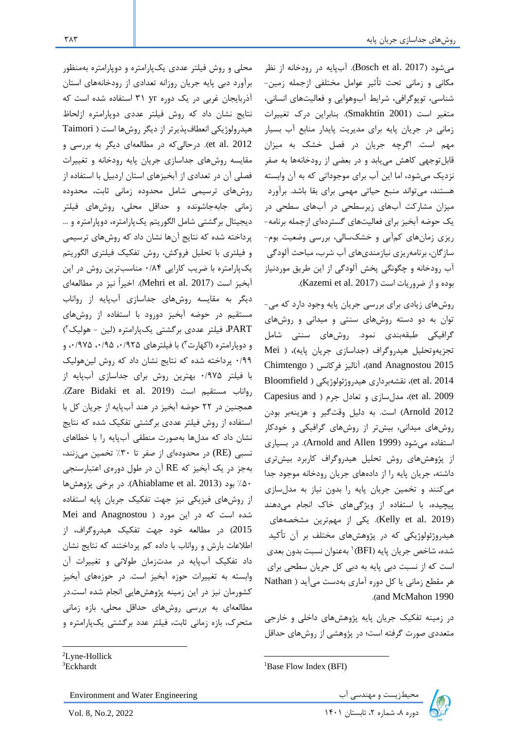میشود (2017 .Bosch et al.). آبپایه در رودخانه از نظر مکانی و زمانی تحت تأثیر عوامل مختلفی ازجمله زمین-شناسی، توپوگرافی، شرایط آبوهوایی و فعالیتهای انسانی، متغیر است (Smakhtin 2001). بنابراین درک تغییرات زمانی در جریان پایه برای مدیریت پایدار منابع آب بسیار مهم است. اگرچه جریان در فصل خشک به میزان قابل توجهی کاهش مییابد و در بعضی از رودخانهها به صفر نزدیک میشود، اما این آب برای موجوداتی که به آن وابسته هستند، میتواند منبع حیاتی مهمی برای بقا باشد. برآورد میزان مشار ت آبهای زی سطحی در آبهای سطحی در یک حوضه آبخیز برای فعالیتهای گستردهای ازجمله برنامه– ریزی زمانهای کم آبی و خشکسالی، بررسی وضعیت بوم-سازگان، برنامهریزی نیازمندیهای آب شرب، مباحث آلودگی آب رودخانه و چگونگی پخش آلودگی از این ط یق موردنیاز  $Kazemi$  et al.  $2017$ ). بوده و از ضروریات است

روشهای زیادی برای بررسی جریان پایه وجود دارد که می-توان به دو دسته روش های سنتی و میدانی و روشهای گرافیکی طبقهبندی نمود. روشهای سنتی شامل تجزیهوتحلیل هیدروگراف (جداسازی جریان پایه)، ( Mei 2015 Anagnostou and ، آنالیز ف انس Chimtengo 2014 .al et ، نقشهب داری هیدروژئولوژیکی Bloomfield 2009 .et al. 2009)، مدلسازی و تعادل جرم ( Capesius and 2012 Arnold است. به دلی وقتگی و هزینهب بودن روشهای میدانی، بیشتر از روشهای گرافیکی و خودکار استفاده میشود 1999 Allen and Arnold . در بسیاری از پژوهشهای روش تحلیل هیدروگراف کاربرد بیشتری داشته، جریان پایه را از دادههای جریان رودخانه موجود جدا می کنند و تخمین جریان پایه را بدون نیاز به مدلسازی پیچیده، با استفاده از ویژگی های خاک انجام میدهند (Kelly et al. 2019). یکی از مهمترین مشخصههای هیدروژئولوژیکی ه در پژوهشهای مختلف ب آن تأ ید شده، شاخص جریان پایه (BFI) ابهعنوان نسبت بدون بعدی است که از نسبت دبی پایه به دبی کل جریان سطحی برای ه مقطع زمانی یا دوره آماری بهدست میآید Nathan . and McMahon 1990

در زمینه تفکیک جریان پایه پژوهشهای داخلی و خارجی متعددی صورت گ فته است؛ در پژوهشی از روشهای حداق

<sup>2</sup>Lyne-Hollick <sup>3</sup>Eckhardt

Environment and Water Engineering

دوره ،8 شماره ،2 تابستان 1401 2022 .2,No 8, .Vol

محلی و روش فیلتر عددی یکپارامتره و دوپارامتره بهمنظور ب آورد دبی پایه یان روزانه تعدادی از رودخانههای استان آذربایجان غربی در یک دوره Y۱ yr استفاده شده است که نتایج نشان داد که روش فیلتر عددی دوپارامتره ازلحاظ هیدرولوژیکی انعطافپذیرتر از دیگر روشها است ( Taimori et al. 2012). درحالی که در مطالعهای دیگر به بررسی و مقایسه روشهای جداسازی جریان پایه رودخانه و تغییرات فصلی آن در تعدادی از آبخیزهای استان اردبی با استفاده از روشهای ترسیمی شامل محدوده زمانی ثابت، محدوده زمانی جابهجاشونده و حداقل محلی، روشهای فیلتر دیجیتال برگشتی شامل الگوریتم یکپارامتره، دوپارامتره و … پرداخته شده که نتایج آنها نشان داد که روشهای ترسیمی و فیلتری با تحلیل فروکش، روش تفکیک فیلتری الگوریتم یکپارامتره با ضریب کارایی ۰/۸۴ مناسبترین روش در این آبخیز است (2017 .Mehri et al). اخیراً نیز در مطالعهای دیگر به مقایسه روشهای جداسازی آبپایه از رواناب مستقیم در حوضه آبخیز دورود با استفاده از روشهای PART، فیلتر عددی برگشتی یکپارامتره (لین - هولیک<sup>۲</sup>) و دوپارامتره (اکهارت۳) با فیلترهای ۱٬۹۲۵٬۰/۹۲۵٬۰/۹۲۵ و 0/99 پ داخته شده ه نتایج نشان داد ه روش لین هولیک با فیلتر ۱۹۷۵۰ بهترین روش برای جداسازی آبپایه از . Zare Bidaki et al. 2019 است مستقیم رواناب همچنین در ٢٢ حوضه آبخیز در هند آبپایه از جریان کل با استفاده از روش فیلتر عددی برگشتی تفکیک شده که نتایج نشان داد که مدلها بهصورت منطقی آبپایه را با خطاهای نسبی (RE) در محدودهای از صفر تا ۳۰٪ تخمین میزنند، به ز در یک آبخیز ه RE آن در طول دورهی اعتبارسنجی %50 بود 2013 .al et Ahiablame . در ب خی پژوهش ها از روش های فیزیکی نیز جهت تفکیک جریان پایه استفاده شده است که در این مورد ( Mei and Anagnostou 2015) در مطالعه خود جهت تفکیک هیدروگراف، از اطلاعات بارش و رواناب با داده کم پرداختند که نتایج نشان داد تفکیک آبپایه در مدتزمان طولانی و تغییرات آن وابسته به تغییرات حوزه آبخیز است. در حوزههای آبخیز کشورمان نیز در این زمینه پژوهشهایی انجام شده است.در مطالعهای به بررسی روشهای حداقل محلی، بازه زمانی متحرک، بازه زمانی ثابت، فیلتر عدد برگشتی یکپارامتره و



<sup>&</sup>lt;sup>1</sup>Base Flow Index (BFI)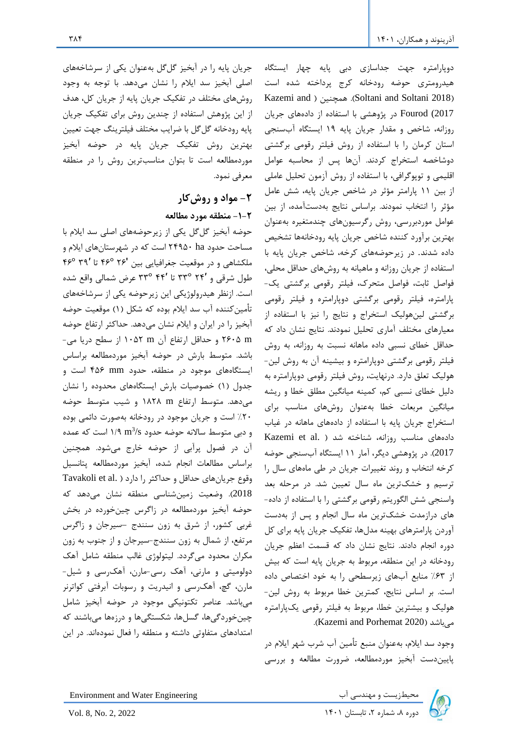جریان پایه را در آبخیز گلگل بهعنوان یکی از سرشاخههای اصلی آبخیز سد ایلام را نشان میدهد. با توجه به وجود روشهای مختلف در تفکیک جریان پایه از جریان کل، هدف از این پژوهش استفاده از چندین روش برای تفکیک جریان پایه رودخانه گلگل با ضرایب مختلف فیلترینگ جهت تعیین بهترین روش تفکیک جریان پایه در حوضه أبخیز موردمطالعه است تا بتوان مناسبت ین روش را در منطقه معرفی نمود. **-2 مواد و روشکار** 

# **-1-2 منطقه مورد مطالعه**

حوضه آبخیز گل گل یکی از زیر حوضههای اصلی سد ایلام با مساحت حدود ۲۴۹۵۰ ha است که در شهرستانهای ایلام و ملکشاهی و در موقعیت جغرافیایی بین '۲۶° ۴۶° تا '۴۹° ۴۶° طول ش قی و 24′ 33° تا 44′ 33° ع ض شمالی واقع شده است. ازنظر هیدرولوژیکی این زیر حوضه یکی از سرشاخههای تأمین کننده آب سد ایلام بوده که شکل (۱) موقعیت حوضه آبخیز را در ایران و ایلام نشان میدهد. حداکثر ارتفاع حوضه m 2605 و حداق ارتفاع آن m 1052 از سطح دریا می- باشد. متوسط بارش در حوضه آبخیز موردمطالعه ب اساس ایستگاههای مو ود در منطقه، حدود mm 456 است و دول 1 خصوصیات بارش ایستگاههای محدوده را نشان میدهد. متوسط ارتفاع m 1828 و شیب متوسط حوضه %20 است و یان مو ود در رودخانه بهصورت دائمی بوده و دبی متوسط سالانه حوضه حدود ۱/۹ m $^3$ /s است که عمده آن در فصول پ آبی از حوضه خارج میشود. همچنین ب اساس مطالعات انجام شده، آبخیز موردمطالعه پتانسی وقوع جریان های حداقل و حداکثر را دارد ( .Tavakoli et al 2018 . وضعیت زمینشناسی منطقه نشان میدهد ه حوضه آبخیز موردمطالعه در زاگرس چینخورده در بخش غربی کشور، از شرق به زون سنندج –سیرجان و زاگرس مرتفع، از شمال به زون سنندج-سیرجان و از جنوب به زون مکران محدود میگردد. لیتولوژی غالب منطقه شامل آهک دولومیتی و مارنی، آهک رسی-مارن، آهکرسی و شیل-مارن، گچ، آهکرسی و انیدریت و رسوبات آبرفتی کواترنر میباشد. عناص تکتونیکی مو ود در حوضه آبخیز شام چینخوردگیها، گسلها، شکستگیها و درزهها میباشند که امتدادهای متفاوتی داشته و منطقه را فعال نمودهاند . در این

دوپارامتره جهت جداسازی دبی پایه چهار ایستگاه هیدرومتری حوضه رودخانه کرج پرداخته شده است Kazemi and ) همچنین . (Soltani and Soltani 2018) 2017) Fourod در پژوهشی با استفاده از دادههای یان روزانه، شاخص و مقدار یان پایه 19 ایستگاه آبسنجی استان کرمان را با استفاده از روش فیلتر رقومی برگشتی دوشاخصه استخراج كردند. آنها پس از محاسبه عوامل اقلیمی و توپوگ افی، با استفاده از روش آزمون تحلی عاملی از بین ۱۱ پارامتر مؤثر در شاخص جریان پایه، شش عامل مؤث را انتخاب نمودند. ب اساس نتایج بهدستآمده، از بین عوامل موردبررسی، روش رگرسیونهای چندمتغیره بهعنوان بهترین برآورد كننده شاخص جریان پایه رودخانهها تشخیص داده شدند. در زیر حوضههای کرخه، شاخص جریان پایه با استفاده از جریان روزانه و ماهیانه به روشهای حداقل محلی، فواصل ثابت، فواصل متحرک، فیلتر رقومی برگشتی یک-پارامتره، فیلتر رقومی برگشتی دوپارامتره و فیلتر رقومی ب گشتی لینهولیک استخ اج و نتایج را نیز با استفاده از معیارهای مختلف آماری تحلیل نمودند. نتایج نشان داد که حداقل خطای نسبی داده ماهانه نسبت به روزانه، به روش فیلتر رقومی برگشتی دوپارامتره و بیشینه آن به روش لین-هولیک تعلق دارد. درنهایت، روش فیلتر رقومی دوپارامتره به دلیل خطای نسبی کم، کمینه میانگین مطلق خطا و ریشه میانگین مربعات خطا بهعنوان روشهای مناسب برای استخ اج یان پایه با استفاده از دادههای ماهانه در غیاب دادههای مناسب روزانه، شناخته شد ( .Kazemi et al 2017 . در پژوهشی دیگ ، آمار 11 ایستگاه آبسنجی حوضه کرخه انتخاب و روند تغییرات جریان در طی ماههای سال را ترسیم و خشکترین ماه سال تعیین شد. در مرحله بعد واسنجی شش الگوریتم رقومی ب گشتی را با استفاده از داده - های درازمدت خشکت ین ماه سال انجام و پس از بهدست آوردن پارامترهای بهینه مدلها، تفکیک جریان پایه برای کل دوره انجام دادند. نتایج نشان داد که قسمت اعظم جریان رودخانه در این منطقه، مربوط به جریان پایه است که بیش از %63 منابع آبهای زی سطحی را به خود اختصاص داده است. بر اساس نتایج، کمترین خطا مربوط به روش لین-هولیک و بیشترین خطا، مربوط به فیلتر رقومی یکپارامتره . Kazemi and Porhemat 2020 میباشد

وجود سد ایلام، بهعنوان منبع تأمین آب شرب شهر ایلام در پاییندست آبخیز موردمطالعه، ض ورت مطالعه و ب رسی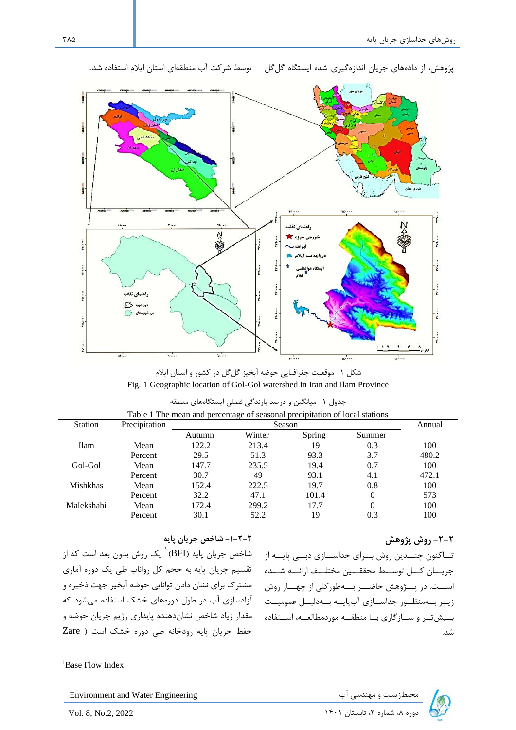

پژوهش، از دادههای جریان اندازهگیری شده ایستگاه گلگل توسط شرکت آب منطقهای استان ایلام استفاده شد.

شکل ۱- موقعیت جغرافیایی حوضه آبخیز گلگل در کشور و استان ایلام Fig. 1 Geographic location of Gol-Gol watershed in Iran and Ilam Province

|                 | Table 1 The mean and percentage of seasonal precipitation of local stations |        |        |        |        |       |  |  |  |
|-----------------|-----------------------------------------------------------------------------|--------|--------|--------|--------|-------|--|--|--|
| <b>Station</b>  | Precipitation                                                               |        |        | Annual |        |       |  |  |  |
|                 |                                                                             | Autumn | Winter | Spring | Summer |       |  |  |  |
| <b>Ilam</b>     | Mean                                                                        | 122.2  | 213.4  | 19     | 0.3    | 100   |  |  |  |
|                 | Percent                                                                     | 29.5   | 51.3   | 93.3   | 3.7    | 480.2 |  |  |  |
| Gol-Gol         | Mean                                                                        | 147.7  | 235.5  | 19.4   | 0.7    | 100   |  |  |  |
|                 | Percent                                                                     | 30.7   | 49     | 93.1   | 4.1    | 472.1 |  |  |  |
| <b>Mishkhas</b> | Mean                                                                        | 152.4  | 222.5  | 19.7   | 0.8    | 100   |  |  |  |
|                 | Percent                                                                     | 32.2   | 47.1   | 101.4  |        | 573   |  |  |  |
| Malekshahi      | Mean                                                                        | 172.4  | 299.2  | 17.7   |        | 100   |  |  |  |
|                 | Percent                                                                     | 30.1   | 52.2   | 19     | 0.3    | 100   |  |  |  |

| جدول ۱- میانگین و درصد بارندگی فصلی ایستگاههای منطقه |  |
|------------------------------------------------------|--|
|------------------------------------------------------|--|

### **-1-2-2 شاخص جریان پایه**

نساکنون چنسدین روش بسرای جداسسازی دبسی پایسه از مشاخص جریان پایه (BFI) <sup>۱</sup> یک روش بدون بعد است که از تقسیم جریان پایه به حجم کل رواناب طی یک دوره آماری مشترک برای نشان دادن توانایی حوضه آبخیز جهت ذخیره و آزادسازی آب در طول دورههای خشک استفاده میشود ه مقدار زیاد شاخص نشان دهنده پایداری رژیم جریان حوضه و حفظ یان پایه رودخانه طی دوره خشک است Zare

## **-2-2 روش پژوهش**

جریسان کسل توســط محققـــین مختلــف ارائـــه شـــده اســت. در پـــژوهش حاضـــر بـــهطور كلی از چهـــار روش زیـر بـهمنظـور جداســازی آبپایــه بــهدلیــل عمومیــت بسیش تب و سبازگاری بیا منطقیه موردمطالعیه، استفاده شد.

<sup>1</sup>Base Flow Index

Environment and Water Engineering دی اب سعیطزیست و مهندسی آب معیطزیست و مهندسی آب ( Environment and Water Engineering<br>دوره ۸، شماره ۲، تابستان ۱۴۰۱ .<br>دوره ۸، شماره ۲، تابستان ۱۴۰۱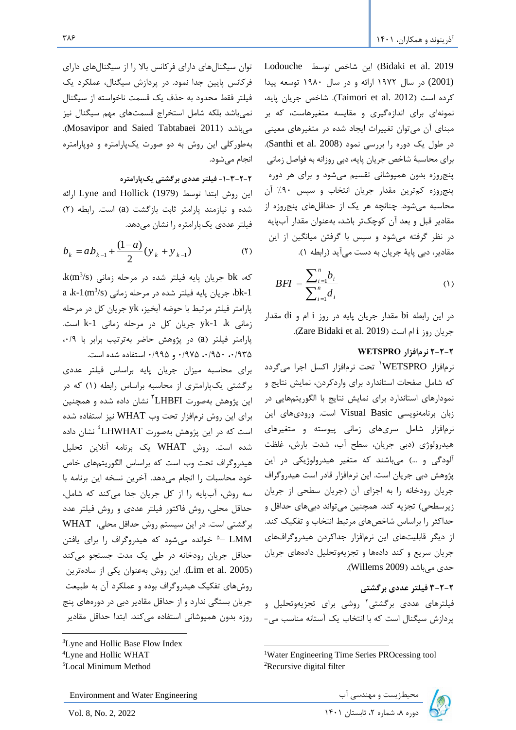Lodouche توسط شاخص این Bidaki et al. 2019 (2001) در سال 1972 ارائه و در سال 1980 توسعه پیدا ده است 2012 .al et Taimori . شاخص یان پایه، نمونهای برای اندازهگیری و مقایسه متغیرهاست، که بر مبنای آن می توان تغییرات ایجاد شده در متغیرهای معینی در طول یک دوره را بررسی نمود (Santhi et al. 2008). برای محاسبۀ شاخص جریان پایه، دبی روزانه به فواصل زمانی پنج روزه بدون همپوشانی تقسیم میشود و برای هر دوره پنجروزه کمترین مقدار جریان انتخاب و سپس ۹۰٪ آن محاسبه می شود. چنانچه هر یک از حداقلهای پنجروزه از مقادیر قبل و بعد آن کوچکتر باشد، بهعنوان مقدار آبپایه در نظر گرفته میشود و سپس با گرفتن میانگین از این مقادیر، دبی پایۀ جریان به دست می آید (رابطه ١).

$$
BFI = \frac{\sum_{i=1}^{n} b_i}{\sum_{i=1}^{n} d_i} \tag{1}
$$

در این رابطه bi مقدار یان پایه در روز i ام و di مقدار . Zare Bidaki et al. 2019 است ام i روز یان

### **2-2-2 نرمافزار WETSPRO**

نرمافزار WETSPRO تحت نرمافزار اکسل اجرا میگردد که شامل صفحات استاندارد برای واردکردن، نمایش نتایج و نمودارهای استاندارد برای نمایش نتایج با الگوریتمهایی در زبان ب نامهنویسی Basic Visual است. ورودیهای این نرمافزار شامل سریهای زمانی پیوسته و متغیرهای هیدرولوژی دبی یان، سطح آب، شدت بارش، غلظت آلودگی و ... میباشند ه متغی هیدرولوژیکی در این پژوهش دبی جریان است. این نرمافزار قادر است هیدروگراف جریان رودخانه را به اجزای آن (جریان سطحی از جریان زیر سطحی) تجزیه کند. همچنین می تواند دبیهای حداقل و حداکثر را براساس شاخصهای مرتبط انتخاب و تفکیک کند. از دیگر قابلیتهای این نرمافزار جداکردن هیدروگرافهای جریان سریع و کند دادهها و تجزیهوتحلیل دادههای جریان حدی می باشد (Willems 2009).

**3-2-2 فیلتر عددی برگشتی** فیلترهای عددی برگشتی<sup>۲</sup> روشی برای تجزیهوتحلیل و پ دازش سیگنال است ه با انتخاب یک آستانه مناسب می -

توان سیگنالهای دارای فرکانس بالا را از سیگنالهای دارای فر کانس پایین جدا نمود. در پردازش سیگنال، عملکرد یک فیلت فقط محدود به حذف یک قسمت ناخواسته از سیگنال نمیباشد بلکه شامل استخراج قسمتهای مهم سیگنال نیز . Mosavipor and Saied Tabtabaei 2011 میباشد بهطور کلی این روش به دو صورت یکپارامتره و دوپارامتره انجام میشود.

## **-1-3-2-2 فیلتر عددی برگشتی یکپارامتره**

این روش ابتدا توسط (1979) Lyne and Hollick ارائه شده و نیازمند پارامت ثابت بازگشت a است. رابطه 2 فیلتر عددی یک پارامتره را نشان می دهد.

$$
b_k = ab_{k-1} + \frac{(1-a)}{2} (y_k + y_{k-1})
$$
 (5)

 $\,$  k(m $^3$ /s) که،  $\,$  bk هریان پایه فیلتر شده در مرحله زمانی a ،k-1(m $^3$ /s) بریان پایه فیلتر شده در مرحله زمانی ( $\,$ k-1)  $\,$ پارامت فیلت م تبط با حوضه آبخیز، yk یان در م حله زمانی yk-1 k جریان کل در مرحله زمانی k-1 است. پارامتر فیلتر (a) در پژوهش حاضر بهترتیب برابر با ۰/۹، ،0/935 ،0/950 0/975 و 0/995 استفاده شده است.

برای محاسبه میزان جریان پایه براساس فیلتر عددی بر گشتی یکپارامتری از محاسبه براساس رابطه (۱) که در 3 این پژوهش بهصورت LHBFI نشان داده شده و همچنین برای این روش نرمافزار تحت وب WHAT نیز استفاده شده است که در این پژوهش بهصورت LHWHAT<sup>؛</sup> نشان داده شده است. روش WHAT یک ب نامه آنالین تحلی هیدروگراف تحت وب است که براساس الگوریتمهای خاص خود محاسبات را انجام میدهد. آخ ین نسخه این ب نامه با سه روش، آبپایه را از کل جریان جدا میکند که شامل، حداقل محلی، روش فاکتور فیلتر عددی و روش فیلتر عدد ب گشتی است. در این سیستم روش حداق محلی، WHAT LMM -<sup>۵</sup> خوانده میشود که هیدروگراف را برای یافتن حداقل جریان رودخانه در طی یک مدت جستجو می کند (Lim et al. 2005). این روش بهعنوان یکی از سادهترین روشهای تفکیک هیدروگ اف بوده و عملک د آن به طبیعت جریان بستگی ندارد و از حداقل مقادیر دبی در دورههای پنج روزه بدون همپوشانی استفاده می کند. ابتدا حداقل مقادیر

Environment and Water Engineering دی الله محیطزیست و مهندسی آب محیطزیست و مهندسی آب محیطزیست و مهندسی آب<br>دوره ۸، شماره ۲، تابستان ۱۴۰۱ Ivol. 8, No. 2, 2022

<sup>1</sup>Water Engineering Time Series PROcessing tool <sup>2</sup>Recursive digital filter

<sup>3</sup>Lyne and Hollic Base Flow Index

<sup>4</sup>Lyne and Hollic WHAT

<sup>5</sup>Local Minimum Method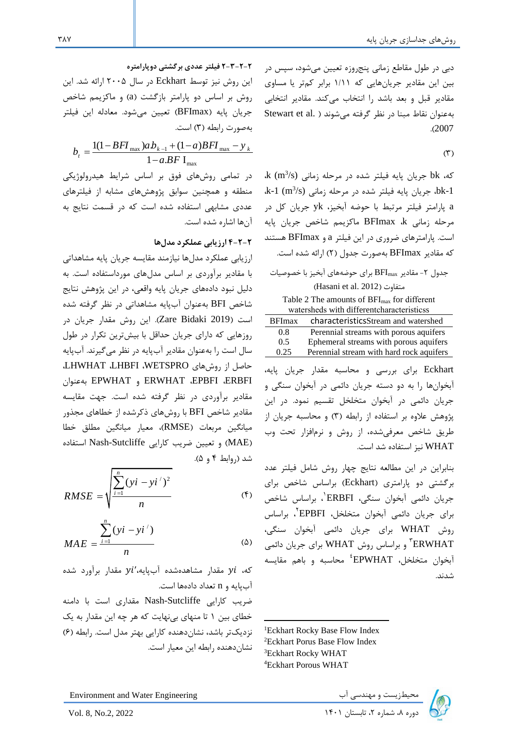دبی در طول مقاطع زمانی پنجروزه تعیین میشود، سپس در بین این مقادیر جریانهایی که ۱/۱۱ برابر کمتر یا مساوی مقادیر قبل و بعد باشد را انتخاب می کند. مقادیر انتخابی بهعنوان نقاط مبنا در نظر گرفته می شوند ( .Stewart et al . 2007

 $(1)$ 

که، bk جریان پایه فیلتر شده در مرحله زمانی (k (m3/s .bk-1، جریان پایه فیلتر شده در مرحله زمانی k-1 (m3/s) به فیلتر شده در a پارامت فیلت م تبط با حوضه آبخیز، yk یان در مرحله زمانی BFImax ،k ماکزیمم شاخص جریان پایه است. پارامت های ض وری در این فیلت a و BFImax هستند که مقادیر BFImax بهصورت جدول (۲) ارائه شده است.

| جدول ۲- مقادیر BFI $_{\rm max}$ برای حوضههای آبخیز با خصوصیات                                                                                                                                                                                                                                     |
|---------------------------------------------------------------------------------------------------------------------------------------------------------------------------------------------------------------------------------------------------------------------------------------------------|
| (Hasani et al. 2012) متفاوت                                                                                                                                                                                                                                                                       |
| Table 2 The amounts of BFI <sub>max</sub> for different                                                                                                                                                                                                                                           |
| watersheds with different characteristicss                                                                                                                                                                                                                                                        |
| characteristicsStream and watershed<br><b>BFImax</b>                                                                                                                                                                                                                                              |
| $0.8\,$<br>Perennial streams with porous aquifers                                                                                                                                                                                                                                                 |
| Ephemeral streams with porous aquifers<br>0.5                                                                                                                                                                                                                                                     |
| Perennial stream with hard rock aquifers<br>0.25                                                                                                                                                                                                                                                  |
| Eckhart برای بررسی و محاسبه مقدار جریان پایه،<br>.<br>آبخوانها را به دو دسته جریان دائمی در آبخوان سنگی و<br>جریان دائمی در آبخوان متخلخل تقسیم نمود. در این<br>پژوهش علاوه بر استفاده از رابطه (۳) و محاسبه جریان از<br>طریق شاخص معرفیشده، از روش و نرمافزار تحت وب<br>WHAT نيز استفاده شد است. |
| بنابراین در این مطالعه نتایج چهار روش شامل فیلتر عدد                                                                                                                                                                                                                                              |
| برگشتی دو پارامتری (Eckhart) براساس شاخص برای                                                                                                                                                                                                                                                     |
| حربان دائم أيخوان سنگ ، ERBFI <sup>'</sup> ، دراساس شاخص                                                                                                                                                                                                                                          |

<sup>1</sup> یان دائمی آبخوان سنگی، ERBFI ، ب اساس شاخص برای جریان دائمی أبخوان متخلخل، EPBFI<sup>۲</sup>، براساس روش WHAT برای جریان دائمی آبخوان سنگی، تریان دائمی WHAT برای جریان دائمی VHAT أبخوان متخلخل، EPWHAT<sup>؛</sup> محاسبه و باهم مقایسه شدند.

Eckhart Rocky Base Flow Index Eckhart Porus Base Flow Index Eckhart Rocky WHAT Eckhart Porous WHAT



**2-3-2-2 فیلتر عددی برگشتی دوپارامتره**

این روش نیز توسط Eckhart در سال 2005 ارائه شد. این روش بر اساس دو پارامتر بازگشت (a) و ماكزيمم شاخص یان پایه BFImax تعیین میشود. معادله این فیلت

بەصورت رابطە (۳) است.  

$$
b_t = \frac{1(1 - BFI_{\max})ab_{k-1} + (1 - a)BFI_{\max} - y_k}{1 - a.BF I_{\max}}
$$

در تمامی روشهای فوق بر اساس شرایط هیدرولوژیکی منطقه و همچنین سوابق پژوهشهای مشابه از فیلت های عددی مشابهی استفاده شده است که در قسمت نتایج به آن ها اشاره شده است.

### **4-2-2 ارزیابی عملکرد مدل ها**

ارزیابی عملکرد مدلها نیازمند مقایسه جریان پایه مشاهداتی با مقادیر برآوردی بر اساس مدل های مورداستفاده است. به دلیل نبود دادههای جریان پایه واقعی، در این پژوهش نتایج شاخص BFI بهعنوان آبپایه مشاهداتی در نظر گرفته شده است 2019 Bidaki Zare . این روش مقدار یان در روزهایی که دارای جریان حداقل با بیشترین تکرار در طول سال است را بهعنوان مقادیر آبپایه در نظر میگیرند. آبپایه حاص از روشهای WETSPRO، LHBFI، LHWHAT، بهعنوان EPWHAT و ERWHAT ،EPBFI ،ERBFI مقادیر برآوردی در نظر گرفته شده است. جهت مقایسه مقادیر شاخص BFI با روشهای ذکرشده از خطاهای مجذور میانگین م بعات RMSE ، معیار میانگین مطلق خطا (MAE) و تعیین ضریب کارایی Nash-Sutcliffe استفاده شد روابط 4 و 5 .

$$
RMSE = \sqrt{\frac{\sum_{i=1}^{n} (yi - yi')^{2}}{n}}
$$
 (f)

$$
MAE = \frac{\sum_{i=1}^{n} (yi - yi')}{n}
$$
 (a)

که،  $yi$  مقدار مشاهدهشده آبپایه، $yi'$  مقدار برآورد شده آب پایه و n تعداد دادهها است.

ض یب ارایی Sutcliffe-Nash مقداری است با دامنه خطای بین ۱ تا منهای بی نهایت که هر چه این مقدار به یک نزدیکتر باشد، نشان دهنده کارایی بهتر مدل است. رابطه (۶) نشاندهنده رابطه این معیار است.

**٣٨٧**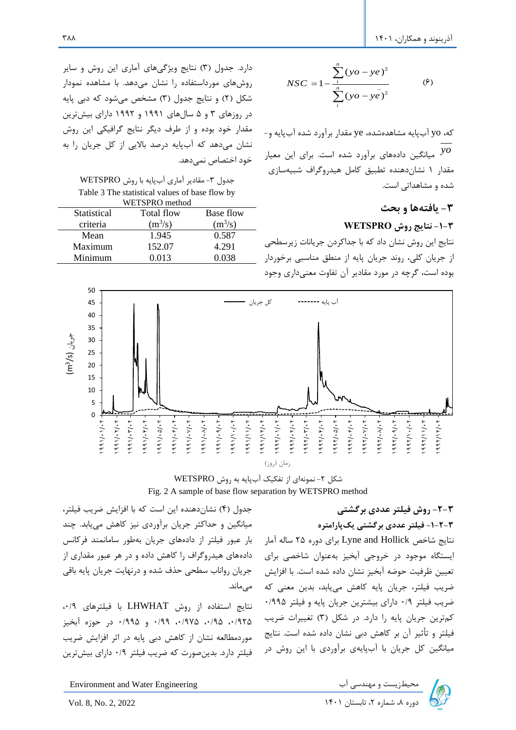$$
NSC = 1 - \frac{\sum_{i}^{n} (yo - ye)^{2}}{\sum_{i}^{n} (yo - ye)^{2}}
$$
 (9)

 ه، yo آبپایه مشاهدهشده، ye مقدار ب آورد شده آبپایه و *yo* میانگین داده های ب آورد شده است. ب ای این معیار مقدار ۱ نشان دهنده تطبیق کامل هیدروگراف شبیهسازی شده و مشاهداتی است.

## **-3 یافتهها و بحث**

### **-1-3 نتایج روش WETSPRO**

نتایج این روش نشان داد که با جداکردن جریانات زیرسطحی از جریان کلی، روند جریان پایه از منطق مناسبی برخوردار بوده است، گرچه در مورد مقادیر آن تفاوت معنیداری وجود

دارد. جدول (۳) نتایج ویژگیهای آماری این روش و سایر روشهای مورداستفاده را نشان میدهد. با مشاهده نمودار شکل (۲) و نتایج جدول (۳) مشخص می شود که دبی پایه در روزهای 3 و 5 سالهای 1991 و 1992 دارای بیشت ین مقدار خود بوده و از ط ف دیگ نتایج گ افیکی این روش نشان میدهد ه آبپایه درصد باالیی از یان را به خود اختصاص نمی دهد.

| جدول ٣- مقادير آماري آبپايه با روش WETSPRO     |
|------------------------------------------------|
| Table 3 The statistical values of base flow by |
| WETSPRO method                                 |

| Statistical | Total flow | Base flow |
|-------------|------------|-----------|
| criteria    | $(m^3/s)$  | $(m^3/s)$ |
| Mean        | 1.945      | 0.587     |
| Maximum     | 152.07     | 4.291     |
| Minimum     | 0.013      | 0.038     |



شکل ۲- نمونهای از تفکیک آبپایه به روش WETSPRO Fig. 2 A sample of base flow separation by WETSPRO method

## **-2-3 روش فیلتر عددی برگشتی**

**-1-2-3 فیلتر عددی برگشتی یکپارامتره** 

نتایج شاخص Hollick and Lyne ب ای دوره 25 ساله آمار ایستگاه موجود در خروجی آبخیز بهعنوان شاخصی برای تعیین ظرفیت حوضه آبخیز نشان داده شده است. با افزایش ضریب فیلتر، جریان پایه کاهش مییابد، بدین معنی که ض یب فیلت 0/9 دارای بیشت ین یان پایه و فیلت 0/995 کمترین جریان پایه را دارد. در شکل (۳) تغییرات ضریب فیلتر و تأثیر آن بر کاهش دبی نشان داده شده است. نتایج میانگین کل جریان با آبپایهی برآوردی با این روش در می ماند.

جدول (۴) نشاندهنده این است که با افزایش ضریب فیلتر، میانگین و حداکثر جریان برآوردی نیز کاهش مییابد. چند بار عبور فیلتر از دادههای جریان بهطور سامانمند فرکانس دادههای هیدروگراف را کاهش داده و در هر عبور مقداری از جریان رواناب سطحی حذف شده و درنهایت جریان پایه باقی

نتایج استفاده از روش LHWHAT با فیلت های ،0/9 ،0/925 ،0/95 ،0/975 0/99 و 0/995 در حوزه آبخیز موردمطالعه نشان از کاهش دبی پایه در اثر افزایش ضریب فیلت دارد. بدینصورت ه ض یب فیلت 0/9 دارای بیشت ین

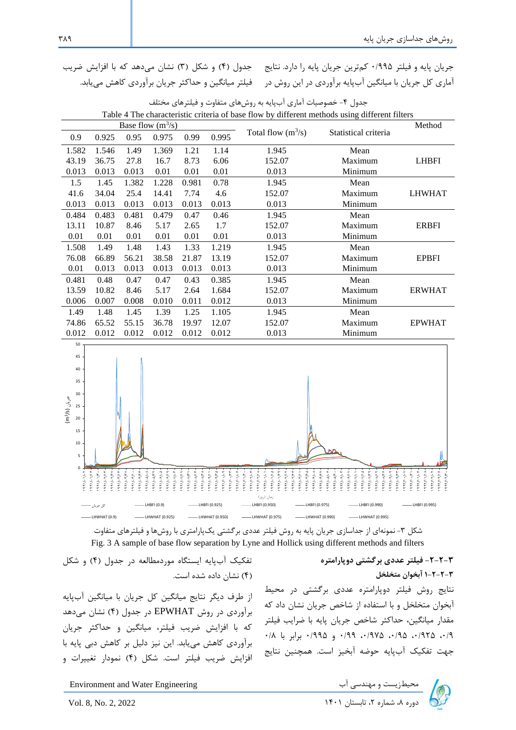جریان پایه و فیلتر ۱۹۹۵۰ کمترین جریان پایه را دارد. نتایج اماری کل جریان با میانگین ابپایه براوردی در این روش در می فیلتر میانگین و حداکثر جریان براوردی کاهش می یابد. جدول (۴) و شکل (۳) نشان میدهد که با افزایش ضریب

| $\tau$ The enarged istic effective of base from by unferent includes asing unferent filters |       |       |       |       |       |       |                      |                      |               |
|---------------------------------------------------------------------------------------------|-------|-------|-------|-------|-------|-------|----------------------|----------------------|---------------|
| Base flow $(m^3/s)$                                                                         |       |       |       |       |       |       |                      |                      | Method        |
|                                                                                             | 0.9   | 0.925 | 0.95  | 0.975 | 0.99  | 0.995 | Total flow $(m^3/s)$ | Statistical criteria |               |
|                                                                                             | 1.582 | 1.546 | 1.49  | 1.369 | 1.21  | 1.14  | 1.945<br>Mean        |                      |               |
|                                                                                             | 43.19 | 36.75 | 27.8  | 16.7  | 8.73  | 6.06  | 152.07<br>Maximum    |                      | <b>LHBFI</b>  |
|                                                                                             | 0.013 | 0.013 | 0.013 | 0.01  | 0.01  | 0.01  | 0.013                | Minimum              |               |
|                                                                                             | 1.5   | 1.45  | 1.382 | 1.228 | 0.981 | 0.78  | 1.945                | Mean                 |               |
|                                                                                             | 41.6  | 34.04 | 25.4  | 14.41 | 7.74  | 4.6   | 152.07               | Maximum              | <b>LHWHAT</b> |
|                                                                                             | 0.013 | 0.013 | 0.013 | 0.013 | 0.013 | 0.013 | 0.013                | Minimum              |               |
|                                                                                             | 0.484 | 0.483 | 0.481 | 0.479 | 0.47  | 0.46  | 1.945                | Mean                 |               |
|                                                                                             | 13.11 | 10.87 | 8.46  | 5.17  | 2.65  | 1.7   | 152.07               | Maximum              | <b>ERBFI</b>  |
|                                                                                             | 0.01  | 0.01  | 0.01  | 0.01  | 0.01  | 0.01  | 0.013                | Minimum              |               |
|                                                                                             | 1.508 | 1.49  | 1.48  | 1.43  | 1.33  | 1.219 | 1.945                | Mean                 |               |
|                                                                                             | 76.08 | 66.89 | 56.21 | 38.58 | 21.87 | 13.19 | 152.07               | Maximum              | <b>EPBFI</b>  |
|                                                                                             | 0.01  | 0.013 | 0.013 | 0.013 | 0.013 | 0.013 | 0.013                | Minimum              |               |
|                                                                                             | 0.481 | 0.48  | 0.47  | 0.47  | 0.43  | 0.385 | 1.945                | Mean                 |               |
|                                                                                             | 13.59 | 10.82 | 8.46  | 5.17  | 2.64  | 1.684 | 152.07               | Maximum              | <b>ERWHAT</b> |
|                                                                                             | 0.006 | 0.007 | 0.008 | 0.010 | 0.011 | 0.012 | 0.013                | Minimum              |               |
|                                                                                             | 1.49  | 1.48  | 1.45  | 1.39  | 1.25  | 1.105 | 1.945                | Mean                 |               |
|                                                                                             | 74.86 | 65.52 | 55.15 | 36.78 | 19.97 | 12.07 | 152.07               | Maximum              | <b>EPWHAT</b> |
|                                                                                             | 0.012 | 0.012 | 0.012 | 0.012 | 0.012 | 0.012 | 0.013                | Minimum              |               |
|                                                                                             |       |       |       |       |       |       |                      |                      |               |

| جدول ۴- خصوصیات آماری آبپایه به روشهای متفاوت و فیلترهای مختلف                                |  |
|-----------------------------------------------------------------------------------------------|--|
| Table 4 The characteristic criteria of base flow by different methods using different filters |  |



شکل ۳- نمونهای از جداسازی جریان پایه به روش فیلتر عددی برگشتی یکپارامتری با روشها و فیلترهای متفاوت Fig. 3 A sample of base flow separation by Lyne and Hollick using different methods and filters

> **-2-2-3 فیلتر عددی برگشتی دوپارامتره 1-2-2-3 آبخوان متخلخل**  نتایج روش فیلتر دوپارامتره عددی برگشتی در محیط آبخوان متخلخل و با استفاده از شاخص جریان نشان داد که مقدار میانگین، حداکثر شاخص جریان پایه با ضرایب فیلتر  $\cdot$ ۰/۹ ، ۱۹۲۵ ، ۱۹۷۵ ،۰/۹۷۵ ،۰/۹۹ برابر با ۰/۸ هت تفکیک آب پایه حوضه آبخیز است. همچنین نتایج

تفکیک آب پایه ایستگاه موردمطالعه در جدول (۴) و شکل 4 نشان داده شده است.

از طرف دیگر نتایج میانگین کل جریان با میانگین آبپایه ب آوردی در روش EPWHAT در دول 4 نشان میدهد که با افزایش ضریب فیلتر، میانگین و حداکثر جریان برآوردی کاهش می بابد. این نیز دلیل بر کاهش دبی پایه با افزایش ضریب فیلتر است. شکل (۴) نمودار تغییرات و

Environment and Water Engineering محیطزیست و مهندسی آب Environment and Water Engineering<br>دوره ۸، شماره ۲، تابستان ۱۴۰۱ - 2021 . No. 2, 2022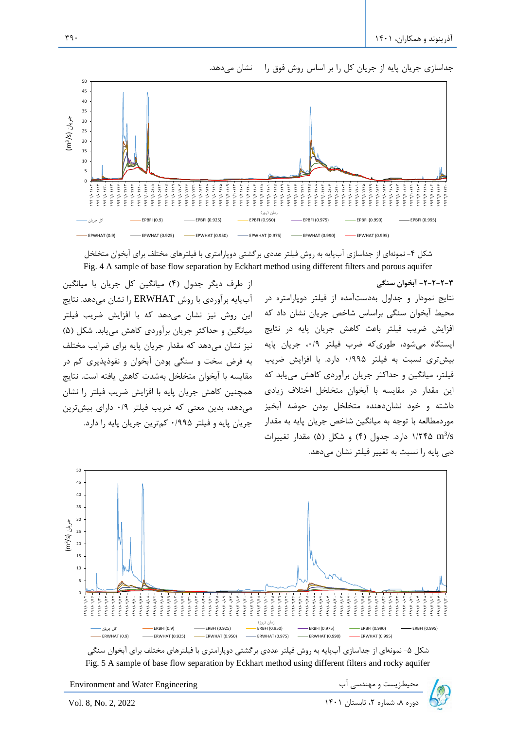

جداسازی جریان پایه از جریان کل را بر اساس روش فوق را هنشان میدهد.

شکل ۴- نمونهای از جداسازی آب $بایه به روش فیلتر عددی بر گشتی دوپارامتری با فیلترهای مختلف برای آبخوان متخلخل$ Fig. 4 A sample of base flow separation by Eckhart method using different filters and porous aquifer

از طرف دیگر جدول (۴) میانگین کل جریان با میانگین آب پایه ب آوردی با روش ERWHAT را نشان میدهد. نتایج این روش نیز نشان میدهد که با افزایش ضریب فیلتر میانگین و حداکثر جریان برآوردی کاهش می یابد. شکل (۵) نیز نشان می دهد که مقدار جریان پایه برای ضرایب مختلف به فرض سخت و سنگی بودن آبخوان و نفوذپذیری کم در مقایسه با آبخوان متخلخل بهشدت کاهش یافته است. نتایج همچنین کاهش جریان پایه با افزایش ضریب فیلتر را نشان میدهد، بدین معنی ه ض یب فیلت 0/9 دارای بیشت ین یان پایه و فیلت 0/995 مت ین یان پایه را دارد.

**-2-2-2-3 آبخوان سنگی**  نتایج نمودار و جداول به دستآمده از فیلتر دوپارامتره در محیط آبخوان سنگی براساس شاخص جریان نشان داد که افزایش ضریب فیلتر باعث کاهش جریان پایه در نتایج ایستگاه میشود، طوری که ضرب فیلتر ۰/۹، جریان پایه بیشتری نسبت به فیلتر ۱۹۹۵۰ دارد. با افزایش ضریب فیلتر، میانگین و حداکثر جریان برآوردی کاهش مییابد که این مقدار در مقایسه با آبخوان متخلخل اختلاف زیادی داشته و خود نشاندهنده متخلخل بودن حوضه آبخیز موردمطالعه با توجه به میانگین شاخص جریان پایه به مقدار ۱/۲۴۵ m<sup>3</sup>/s دارد. جدول (۴) و شکل (۵) مقدار تغییرات دبی پایه را نسبت به تغییر فیلتر نشان می دهد.



شکل ۵- نمونهای از جداسازی آبپایه به روش فیلتر عددی برگشتی دوپارامتری با فیلترهای مختلف برای آبخوان سنگی Fig. 5 A sample of base flow separation by Eckhart method using different filters and rocky aquifer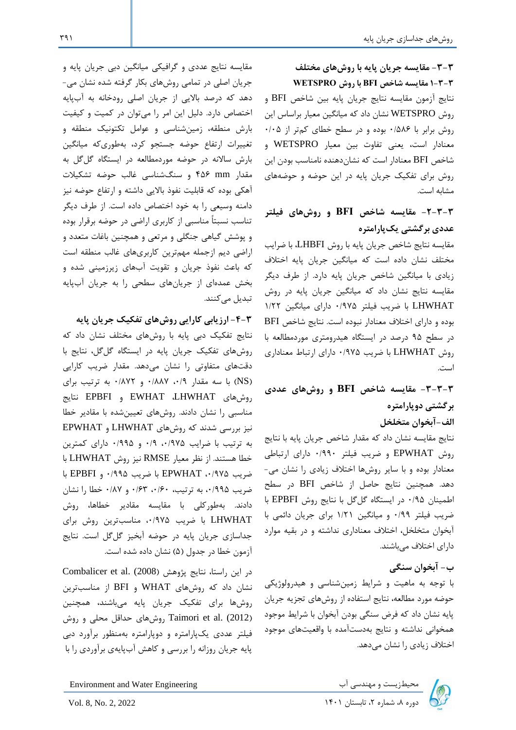مشابه است.

**عددی برگشتی یک پارامتره** 

**-3-3 مقایسه جریان پایه با روشهای مختلف 1-3-3 مقایسه شاخص BFI با روش WETSPRO**

نتایج آزمون مقایسه نتایج یان پایه بین شاخص BFI و روش WETSPRO نشان داد ه میانگین معیار ب اساس این روش برابر با ۰/۵۸۶ بوده و در سطح خطای کمتر از ۰/۰۵ معنادار است، یعنی تفاوت بین معیار WETSPRO و شاخص BFI معنادار است كه نشاندهنده نامناسب بودن این روش برای تفکیک جریان پایه در این حوضه و حوضههای

**-2-3-3 مقای سه شاخص BFI و روشهای فیلتر** 

مقایسه نتایج شاخص جریان پایه با روش LHBFI، با ضرایب مختلف نشان داده است که میانگین جریان پایه اختلاف زیادی با میانگین شاخص جریان پایه دارد. از طرف دیگر مقایسه نتایج نشان داد که میانگین جریان پایه در روش

مقایسه نتایج عددی و گ افیکی میانگین دبی یان پایه و یان اصلی در تمامی روشهای بکار گ فته شده نشان می- دهد که درصد بالایی از جریان اصلی رودخانه به آبپایه اختصاص دارد. دلیل این امر را میتوان در کمیت و کیفیت بارش منطقه، زمینشناسی و عوامل تکتونیک منطقه و تغییرات ارتفاع حوضه جستجو کرد، بهطوری که میانگین بارش سالانه در حوضه موردمطالعه در ایستگاه گلگل به مقدار mm 456 و سنگشناسی غالب حوضه تشکیالت آهکی بوده ه قابلیت نفوذ باالیی داشته و ارتفاع حوضه نیز دامنه وسیعی را به خود اختصاص داده است. از طرف دیگر تناسب نسبتاً مناسبی از کاربری اراضی در حوضه برقرار بوده و پوشش گیاهی نگلی و م تعی و همچنین باغات متعدد و اراضی دیم ازجمله مهمترین کاربریهای غالب منطقه است که باعث نفوذ جریان و تقویت آبهای زیرزمینی شده و بخش عمدهای از جریانهای سطحی را به جریان آبپایه تبدیل می کنند.

**-4-3 ارزیابی کارایی روشهای تفکیک جریان پایه**  نتایج تفکیک دبی پایه با روشهای مختلف نشان داد ه روشهای تفکیک جریان پایه در ایستگاه گلگل، نتایج با دقتهای متفاوتی را نشان می دهد. مقدار ض یب ارایی (NS) با سه مقدار ۰/۸۸۷ و ۰/۸۷۲ به ترتیب برای روشهای LHWHAT، EWHAT و EPBFI نتایج مناسبی را نشان دادند. روشهای تعیینشده با مقادی خطا نیز بررسی شدند که روشهای LHWHAT و EPWHAT به ترتیب با ضرایب ۰/۹۷۵، ۰/۹۹ و ۰/۹۹۵ دارای کمترین خطا هستند. از نظ معیار RMSE نیز روش LHWHAT با ض یب ،0/975 EPWHAT با ض یب 0/995 و EPBFI با ضریب ۰/۹۹۵ به ترتیب، ۰/۶۳، ۰/۶۳ و ۰/۸۷ خطا را نشان دادند. بهطور لی با مقایسه مقادی خطاها، روش LHWHAT با ضریب ۰/۹۷۵، مناسبترین روش برای جداسازی جریان پایه در حوضه آبخیز گلگل است. نتایج آزمون خطا در جدول (۵) نشان داده شده است.

در این راستا، نتایج پژوهش Combalicer et al. (2008) نشان داد ه روشهای WHAT و BFI از مناسبت ین روشها برای تفکیک جریان پایه میباشند، همچنین روش Taimori et al. (2012) روش های حداقل محلی و روش فیلتر عددی یکپارامتره و دوپارامتره بهمنظور برآورد دبی پایه جریان روزانه را بررسی و کاهش آبپایهی برآوردی را با

LHWHAT با ضریب فیلتر ۰/۹۷۵ دارای میانگین ۱/۲۲ بوده و دارای اختالف معنادار نبوده است. نتایج شاخص BFI در سطح ۹۵ درصد در ایستگاه هیدرومتری موردمطالعه با روش LHWHAT با ض یب 0/975 دارای ارتباط معناداری است. **-3-3-3 مقایسه شاخص BFI و روشهای عددی برگشتی دوپارامتره** 

**الف-آبخوان متخلخل**

نتایج مقایسه نشان داد که مقدار شاخص جریان پایه با نتایج روش EPWHAT و ض یب فیلت /990 0 دارای ارتباطی معنادار بوده و با سای روشها اختالف زیادی را نشان می- دهد. همچنین نتایج حاص از شاخص BFI در سطح اطمینان ۰/۹۵ در ایستگاه گل گل با نتایج روش EPBFI با ضریب فیلتر ۰/۹۹ و میانگین ۱/۲۱ برای جریان دائمی با آبخوان متخلخ ، اختالف معناداری نداشته و در بقیه موارد دارای اختالف میباشند.

**ب- آبخوان سنگی**

با تو ه به ماهیت و ش ایط زمینشناسی و هیدرولوژیکی حوضه مورد مطالعه، نتایج استفاده از روشهای تجزیه یان پایه نشان داد که فرض سنگی بودن آبخوان با شرایط موجود همخوانی نداشته و نتایج به دستآمده با واقعیتهای مو ود اختالف زیادی را نشان میدهد.

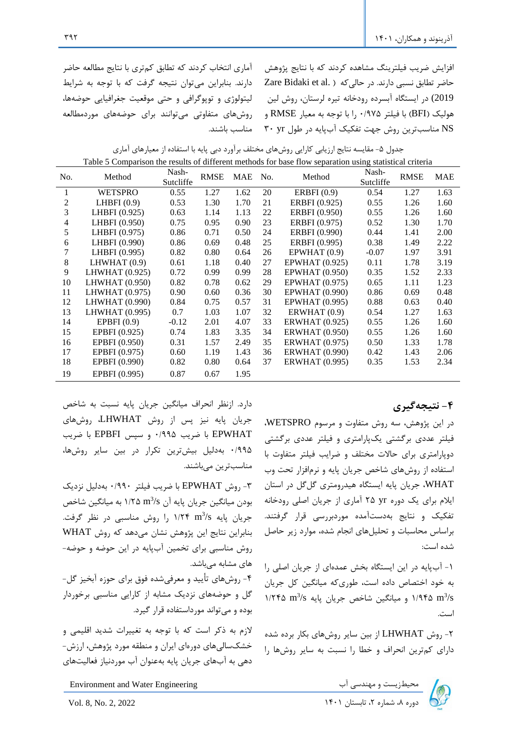افزایش ضریب فیلترینگ مشاهده کردند که با نتایج پژوهش  $Z$ are Bidaki et al. حاضر تطابق نسبی دارند. در حالی که  $\alpha$ 2019) در ایستگاه آبسرده رودخانه تیره لرستان، روش لین هولیک BFI با فیلت 0/975 را با تو ه به معیار RMSE و NS مناسبترین روش جهت تفکیک آبپایه در طول Y۰ yr

آماری انتخاب کردند که تطابق کمتری با نتایج مطالعه حاضر دارند. بنابراین میتوان نتیجه گرفت که با توجه به شرایط لیتولوژی و توپوگرافی و حتی موقعیت جغرافیایی حوضهها، روشهای متفاوتی میتوانند برای حوضههای موردمطالعه مناسب باشند.

| جدول ۵- مقایسه نتایج ارزیابی کارایی روشهای مختلف برآورد دبی پایه با استفاده از معیارهای آماری           |  |  |  |  |  |
|---------------------------------------------------------------------------------------------------------|--|--|--|--|--|
| Table 5 Comparison the results of different methods for base flow separation using statistical criteria |  |  |  |  |  |

| No.            | Method           | Nash-<br>Sutcliffe | <b>RMSE</b> | <b>MAE</b> | No. | Method                | Nash-<br>Sutcliffe | <b>RMSE</b> | <b>MAE</b> |
|----------------|------------------|--------------------|-------------|------------|-----|-----------------------|--------------------|-------------|------------|
| 1              | <b>WETSPRO</b>   | 0.55               | 1.27        | 1.62       | 20  | ERBFI $(0.9)$         | 0.54               | 1.27        | 1.63       |
| 2              | LHBFI $(0.9)$    | 0.53               | 1.30        | 1.70       | 21  | ERBFI (0.925)         | 0.55               | 1.26        | 1.60       |
| 3              | LHBFI (0.925)    | 0.63               | 1.14        | 1.13       | 22  | <b>ERBFI</b> (0.950)  | 0.55               | 1.26        | 1.60       |
| $\overline{4}$ | LHBFI (0.950)    | 0.75               | 0.95        | 0.90       | 23  | ERBFI (0.975)         | 0.52               | 1.30        | 1.70       |
| 5              | LHBFI (0.975)    | 0.86               | 0.71        | 0.50       | 24  | <b>ERBFI</b> (0.990)  | 0.44               | 1.41        | 2.00       |
| 6              | LHBFI (0.990)    | 0.86               | 0.69        | 0.48       | 25  | ERBFI (0.995)         | 0.38               | 1.49        | 2.22       |
| 7              | LHBFI (0.995)    | 0.82               | 0.80        | 0.64       | 26  | EPWHAT(0.9)           | $-0.07$            | 1.97        | 3.91       |
| 8              | LHWHAT $(0.9)$   | 0.61               | 1.18        | 0.40       | 27  | <b>EPWHAT</b> (0.925) | 0.11               | 1.78        | 3.19       |
| 9              | LHWHAT (0.925)   | 0.72               | 0.99        | 0.99       | 28  | <b>EPWHAT</b> (0.950) | 0.35               | 1.52        | 2.33       |
| 10             | LHWHAT (0.950)   | 0.82               | 0.78        | 0.62       | 29  | <b>EPWHAT</b> (0.975) | 0.65               | 1.11        | 1.23       |
| 11             | LHWHAT $(0.975)$ | 0.90               | 0.60        | 0.36       | 30  | <b>EPWHAT</b> (0.990) | 0.86               | 0.69        | 0.48       |
| 12             | LHWHAT (0.990)   | 0.84               | 0.75        | 0.57       | 31  | <b>EPWHAT</b> (0.995) | 0.88               | 0.63        | 0.40       |
| 13             | LHWHAT (0.995)   | 0.7                | 1.03        | 1.07       | 32  | ERWHAT $(0.9)$        | 0.54               | 1.27        | 1.63       |
| 14             | EPBFI $(0.9)$    | $-0.12$            | 2.01        | 4.07       | 33  | <b>ERWHAT</b> (0.925) | 0.55               | 1.26        | 1.60       |
| 15             | EPBFI (0.925)    | 0.74               | 1.83        | 3.35       | 34  | <b>ERWHAT</b> (0.950) | 0.55               | 1.26        | 1.60       |
| 16             | EPBFI (0.950)    | 0.31               | 1.57        | 2.49       | 35  | <b>ERWHAT</b> (0.975) | 0.50               | 1.33        | 1.78       |
| 17             | EPBFI (0.975)    | 0.60               | 1.19        | 1.43       | 36  | <b>ERWHAT (0.990)</b> | 0.42               | 1.43        | 2.06       |
| 18             | EPBFI (0.990)    | 0.82               | 0.80        | 0.64       | 37  | <b>ERWHAT</b> (0.995) | 0.35               | 1.53        | 2.34       |
| 19             | EPBFI (0.995)    | 0.87               | 0.67        | 1.95       |     |                       |                    |             |            |

## **-4 نتیجهگیری**

در این پژوهش، سه روش متفاوت و م سوم WETSPRO، فیلتر عددی برگشتی یکپارامتری و فیلتر عددی برگشتی دوپارامتری برای حالات مختلف و ضرایب فیلتر متفاوت با استفاده از روشهای شاخص جریان پایه و نرمافزار تحت وب WHAT، جریان پایه ایستگاه هیدرومتری گلگل در استان ایلام برای یک دوره Y۵ yr آماری از جریان اصلی رودخانه تفکیک و نتایج بهدستآمده موردبررسی قرار گرفتند. براساس محاسبات و تحلیل های انجام شده، موارد زیر حاصل شده است:

-1 آبپایه در این ایستگاه بخش عمدهای از یان اصلی را به خود اختصاص داده است، طوری که میانگین کل جریان ۱/۲۴۵ سیانگین شاخص جریان پایه ۱/۲۴۵ m<sup>3</sup>/s (۱/۲۴۵ m3 است.

۲- روش LHWHAT از بین سایر روشهای بکار برده شده دارای کمترین انحراف و خطا را نسبت به سایر روشها را

دارد. ازنظر انحراف میانگین جریان پایه نسبت به شاخص یان پایه نیز پس از روش LHWHAT، روشهای EPWHAT با ض یب 0/995 و سپس EPBFI با ض یب ۰/۹۹۵ بهدلیل بیشترین تکرار در بین سایر روشها، مناسبت ین میباشند.

-3 روش EPWHAT با ض یب فیلت 0/990 بهدلی نزدیک بودن میانگین جریان پایه آن ۱/۲۵ ۱/۲۵ به میانگین شاخص ریان پایه ۱/۲۴ m<sup>3</sup>/s را روش مناسبی در نظر گرفت. بنابراین نتایج این پژوهش نشان می دهد که روش WHAT روش مناسبی برای تخمین آبپایه در این حوضه و حوضه-های مشابه می باشد.

-4 روشهای تأیید و مع فیشده فوق ب ای حوزه آبخیز گ - گل و حوضههای نزدیک مشابه از کارایی مناسبی برخوردار بوده و می تواند مورداستفاده قرار گیرد.

لازم به ذکر است که با توجه به تغییرات شدید اقلیمی و خشک سالی های دورهای ایران و منطقه مورد پژوهش، ارزش-دهی به آبهای یان پایه بهعنوان آب موردنیاز فعالیتهای



Environment and Water Engineering دوره به معندسی آب المحیطزیست و مهندسی آب استان در استان در تابستان در استان در استان ۷۵۱. 8, No. 2, 2022 استان<br>دوره ۸، شماره ۲، تابستان ۱۴۰۱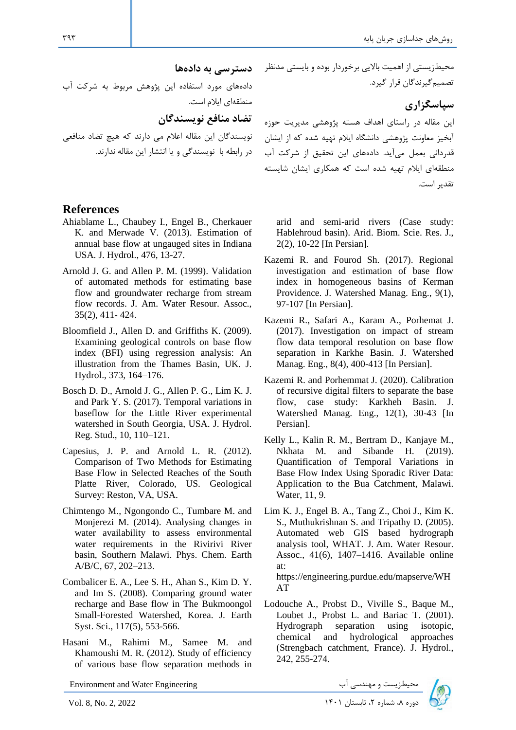دادههای مورد استفاده این پژوهش م بوط به ش ت آب منطقهای ایالم است.

**تضاد منافع نویسندگان** 

نویسندگان این مقاله اعالم می دارند ه هیچ تضاد منافعی در رابطه با نویسندگی و یا انتشار این مقاله ندارند .

## **References**

- Ahiablame L., Chaubey I., Engel B., Cherkauer K. and Merwade V. (2013). Estimation of annual base flow at ungauged sites in Indiana USA. J. Hydrol., 476, 13-27.
- Arnold J. G. and Allen P. M. (1999). Validation of automated methods for estimating base flow and groundwater recharge from stream flow records. J. Am. Water Resour. Assoc., 35(2), 411- 424.
- Bloomfield J., Allen D. and Griffiths K. (2009). Examining geological controls on base flow index (BFI) using regression analysis: An illustration from the Thames Basin, UK. J. Hydrol., 373, 164–176.
- Bosch D. D., Arnold J. G., Allen P. G., Lim K. J. and Park Y. S. (2017). Temporal variations in baseflow for the Little River experimental watershed in South Georgia, USA. J. Hydrol. Reg. Stud., 10, 110–121.
- Capesius, J. P. and Arnold L. R. (2012). Comparison of Two Methods for Estimating Base Flow in Selected Reaches of the South Platte River, Colorado, US. Geological Survey: Reston, VA, USA.
- Chimtengo M., Ngongondo C., Tumbare M. and Monjerezi M. (2014). Analysing changes in water availability to assess environmental water requirements in the Rivirivi River basin, Southern Malawi. Phys. Chem. Earth A/B/C, 67, 202–213.
- Combalicer E. A., Lee S. H., Ahan S., Kim D. Y. and Im S. (2008). Comparing ground water recharge and Base flow in The Bukmoongol Small-Forested Watershed, Korea. J. Earth Syst. Sci., 117(5), 553-566.
- Hasani M., Rahimi M., Samee M. and Khamoushi M. R. (2012). Study of efficiency of various base flow separation methods in

Environment and Water Engineering دوره بالمحیطزیست و مهندسی آب استان ۱۴۰۱ Environment and Water Engineering<br>Vol. 8, No. 2, 2022

محیطزیستی از اهمیت بالایی برخوردار بوده و بایستی مدنظر \_\_\_**دستر سی به دادهها** تصمیم *گ*یرندگان قرار گیرد.

**سپاسگزاری** 

این مقاله د<sub>ر د</sub>استای اهداف هسته پژوهشی مدیریت حوزه آبخیز معاونت پژوهشی دانشگاه ایلام تهیه شده که از ایشان قدردانی بعمل میآید. دادههای این تحقیق از شرکت آب منطقهای ایالم تهیه شده است ه همکاری ایشان شایسته تقدی است.

arid and semi-arid rivers (Case study: Hablehroud basin). Arid. Biom. Scie. Res. J., 2(2), 10-22 [In Persian].

- Kazemi R. and Fourod Sh. (2017). Regional investigation and estimation of base flow index in homogeneous basins of Kerman Providence. J. Watershed Manag. Eng., 9(1), 97-107 [In Persian].
- Kazemi R., Safari A., Karam A., Porhemat J. (2017). Investigation on impact of stream flow data temporal resolution on base flow separation in Karkhe Basin. J. Watershed Manag. Eng., 8(4), 400-413 [In Persian].
- Kazemi R. and Porhemmat J. (2020). Calibration of recursive digital filters to separate the base flow, case study: Karkheh Basin. J. Watershed Manag. Eng., 12(1), 30-43 [In Persian].
- Kelly L., Kalin R. M., Bertram D., Kanjaye M., Nkhata M. and Sibande H. (2019). Quantification of Temporal Variations in Base Flow Index Using Sporadic River Data: Application to the Bua Catchment, Malawi. Water, 11, 9.
- Lim K. J., Engel B. A., Tang Z., Choi J., Kim K. S., Muthukrishnan S. and Tripathy D. (2005). Automated web GIS based hydrograph analysis tool, WHAT. J. Am. Water Resour. Assoc., 41(6), 1407–1416. Available online at: https://engineering.purdue.edu/mapserve/WH

AT

Lodouche A., Probst D., Viville S., Baque M., Loubet J., Probst L. and Bariac T. (2001). Hydrograph separation using isotopic, chemical and hydrological approaches (Strengbach catchment, France). J. Hydrol., 242, 255-274.